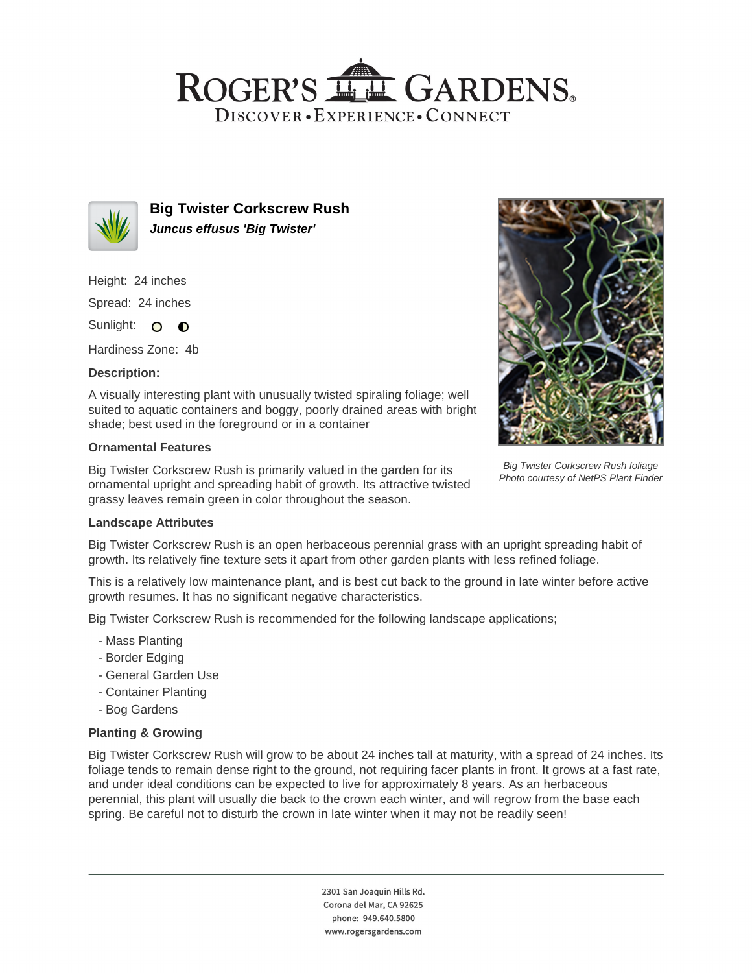## ROGER'S LL GARDENS. DISCOVER · EXPERIENCE · CONNECT



**Big Twister Corkscrew Rush Juncus effusus 'Big Twister'**

Height: 24 inches

Spread: 24 inches

Sunlight: O **O** 

Hardiness Zone: 4b

### **Description:**

A visually interesting plant with unusually twisted spiraling foliage; well suited to aquatic containers and boggy, poorly drained areas with bright shade; best used in the foreground or in a container

#### **Ornamental Features**

Big Twister Corkscrew Rush is primarily valued in the garden for its ornamental upright and spreading habit of growth. Its attractive twisted grassy leaves remain green in color throughout the season.



Big Twister Corkscrew Rush foliage Photo courtesy of NetPS Plant Finder

#### **Landscape Attributes**

Big Twister Corkscrew Rush is an open herbaceous perennial grass with an upright spreading habit of growth. Its relatively fine texture sets it apart from other garden plants with less refined foliage.

This is a relatively low maintenance plant, and is best cut back to the ground in late winter before active growth resumes. It has no significant negative characteristics.

Big Twister Corkscrew Rush is recommended for the following landscape applications;

- Mass Planting
- Border Edging
- General Garden Use
- Container Planting
- Bog Gardens

#### **Planting & Growing**

Big Twister Corkscrew Rush will grow to be about 24 inches tall at maturity, with a spread of 24 inches. Its foliage tends to remain dense right to the ground, not requiring facer plants in front. It grows at a fast rate, and under ideal conditions can be expected to live for approximately 8 years. As an herbaceous perennial, this plant will usually die back to the crown each winter, and will regrow from the base each spring. Be careful not to disturb the crown in late winter when it may not be readily seen!

> 2301 San Joaquin Hills Rd. Corona del Mar, CA 92625 phone: 949.640.5800 www.rogersgardens.com